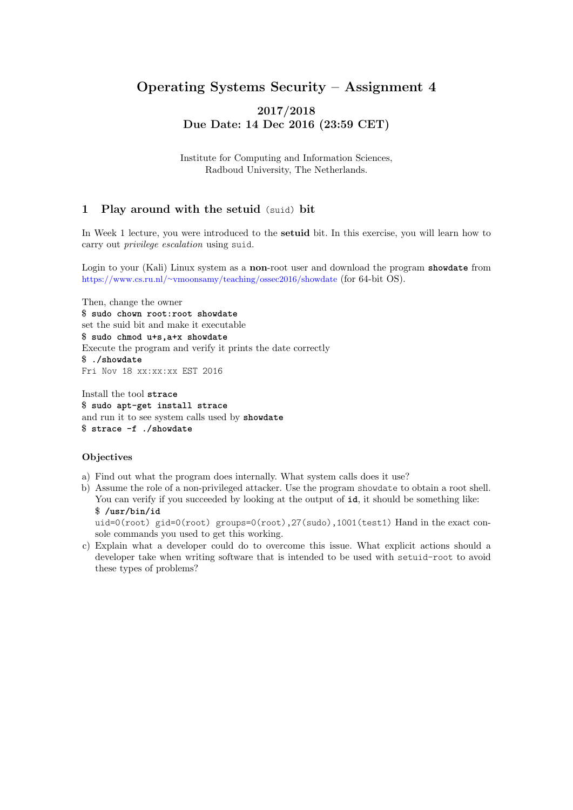# Operating Systems Security – Assignment 4

## 2017/2018 Due Date: 14 Dec 2016 (23:59 CET)

Institute for Computing and Information Sciences, Radboud University, The Netherlands.

#### 1 Play around with the setuid (suid) bit

In Week 1 lecture, you were introduced to the setuid bit. In this exercise, you will learn how to carry out privilege escalation using suid.

Login to your (Kali) Linux system as a non-root user and download the program **showdate** from https://www.cs.ru.nl/∼[vmoonsamy/teaching/ossec2016/showdate](https://www.cs.ru.nl/~vmoonsamy/teaching/ossec2016/showdate) (for 64-bit OS).

Then, change the owner \$ **sudo chown root:root showdate** set the suid bit and make it executable \$ **sudo chmod u+s,a+x showdate** Execute the program and verify it prints the date correctly \$ **./showdate** Fri Nov 18 xx:xx:xx EST 2016

Install the tool **strace** \$ **sudo apt-get install strace** and run it to see system calls used by **showdate** \$ **strace -f ./showdate**

#### **Objectives**

- a) Find out what the program does internally. What system calls does it use?
- b) Assume the role of a non-privileged attacker. Use the program showdate to obtain a root shell. You can verify if you succeeded by looking at the output of **id**, it should be something like: \$ **/usr/bin/id**

uid=0(root) gid=0(root) groups=0(root),27(sudo),1001(test1) Hand in the exact console commands you used to get this working.

c) Explain what a developer could do to overcome this issue. What explicit actions should a developer take when writing software that is intended to be used with setuid-root to avoid these types of problems?